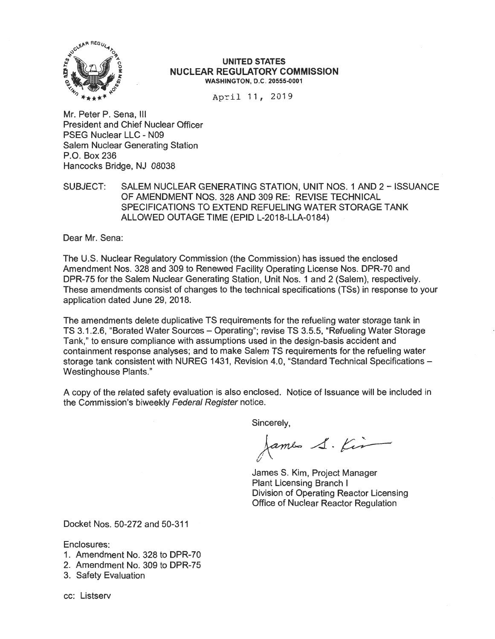

#### **UNITED STATES NUCLEAR REGULATORY COMMISSION WASHINGTON, D.C. 20555-0001**

April 11, 2019

Mr. Peter P. Sena, <sup>111</sup> President and Chief Nuclear Officer PSEG Nuclear LLC - N09 Salem Nuclear Generating Station P.O. Box 236 Hancocks Bridge, NJ 08038

SUBJECT: SALEM NUCLEAR GENERATING STATION, UNIT NOS. 1 AND 2 - ISSUANCE OF AMENDMENT NOS. 328 AND 309 RE: REVISE TECHNICAL SPECIFICATIONS TO EXTEND REFUELING WATER STORAGE TANK ALLOWED OUTAGE TIME (EPID L-2018-LLA-0184)

Dear Mr. Sena:

The U.S. Nuclear Regulatory Commission (the Commission) has issued the enclosed Amendment Nos. 328 and 309 to Renewed Facility Operating License Nos. DPR-70 and DPR-75 for the Salem Nuclear Generating Station, Unit Nos. 1 and 2 (Salem), respectively. These amendments consist of changes to the technical specifications (TSs) in response to your application dated June 29, 2018.

The amendments delete duplicative TS requirements for the refueling water storage tank in TS 3.1.2.6, "Borated Water Sources - Operating"; revise TS 3.5.5, "Refueling Water Storage Tank," to ensure compliance with assumptions used in the design-basis accident and containment response analyses; and to make Salem TS requirements for the refueling water storage tank consistent with NUREG 1431, Revision 4.0, "Standard Technical Specifications -Westinghouse Plants."

A copy of the related safety evaluation is also enclosed. Notice of Issuance will be included in the Commission's biweekly Federal Register notice.

Sincerely,

James S. Kir

James S. Kim, Project Manager Plant Licensing Branch I Division of Operating Reactor Licensing Office of Nuclear Reactor Regulation

Docket Nos. 50-272 and 50-311

Enclosures:

- 1. Amendment No. 328 to DPR-70
- 2. Amendment No. 309 to DPR-75
- 3. Safety Evaluation
- cc: Listserv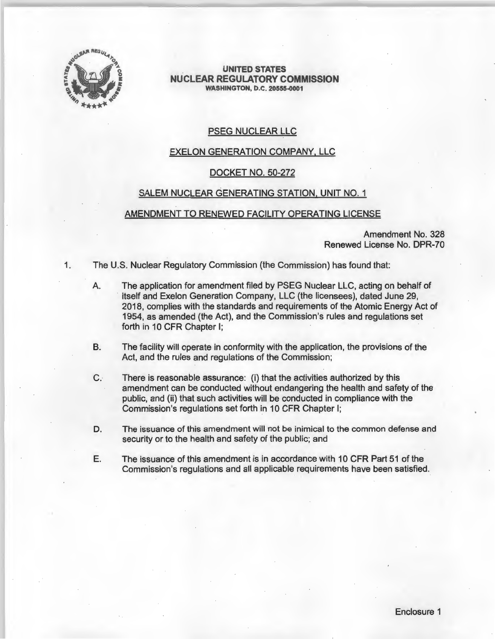

**UNITED STATES NUCLEAR REGULATORY COMMISSION WASHINGTON, D.C. 20555-0001** 

## PSEG NUCLEAR LLC

# EXELON GENERATION COMPANY, LLC

#### DOCKET NO. 50-272

## SALEM NUCLEAR GENERATING STATION, UNIT NO. 1

## AMENDMENT TO RENEWED FACILITY OPERATING LICENSE

Amendment No. 328 Renewed License No. DPR-70

1. The U.S. Nuclear Regulatory Commission (the Commission) has found that:

- A The application for amendment filed by PSEG Nuclear LLC, acting on behalf of itself and Exelon Generation Company, LLC (the licensees), dated June 29, 2018, complies with the standards and requirements of the Atomic Energy Act of 1954, as amended (the Act), and the Commission's rules and regulations set forth in 10 CFR Chapter I;
- B. The facility will operate in conformity with the application, the provisions of the Act, and the rules and regulations of the Commission;
- C. There is reasonable assurance: (i) that the activities authorized by this amendment can be conducted without endangering the health and safety of the public, and (ii) that such activities will be conducted in compliance with the Commission's regulations set forth in 10 CFR Chapter I;
- D. The issuance of this amendment will not be inimical to the common defense and security or to the health and safety of the public; and
- E. The issuance of this amendment is in accordance with 10 CFR Part 51 of the Commission's regulations and all applicable requirements have been satisfied.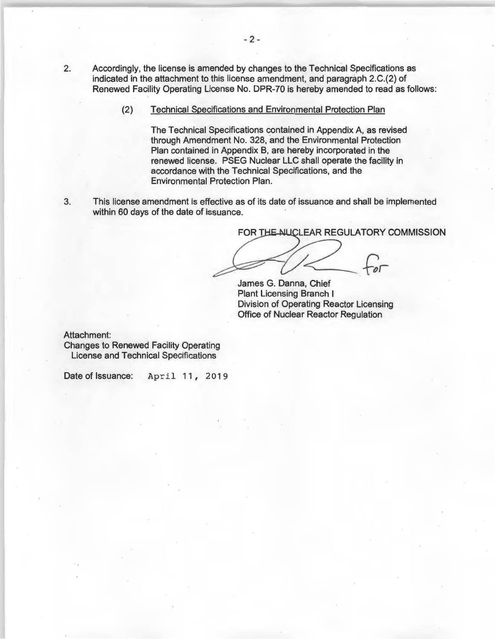- 2. Accordingly, the license is amended by changes to the Technical Specifications as indicated in the attachment to this license amendment, and paragraph 2.C.(2) of Renewed Facility Operating License No. DPR-70 is hereby amended to read as follows:
	- (2) Technical Specifications and Environmental Protection Plan

The Technical Specifications contained in Appendix A, as revised through Amendment No. 328, and the Environmental Protection Plan contained in Appendix B, are hereby incorporated in the renewed license. PSEG Nuclear LLC shall operate the facility in accordance with the Technical Specifications, and the Environmental Protection Plan.

3. This license amendment is effective as of its date of issuance and shall be implemented within 60 days of the date of issuance.

FOR THE NUCLEAR REGULATORY COMMISSION

James G. Danna, Chief Plant Licensing Branch I Division of Operating Reactor Licensing Office of Nuclear Reactor Regulation

Attachment:

Changes to Renewed Facility Operating License and Technical Specifications

Date of Issuance: April 11, 2019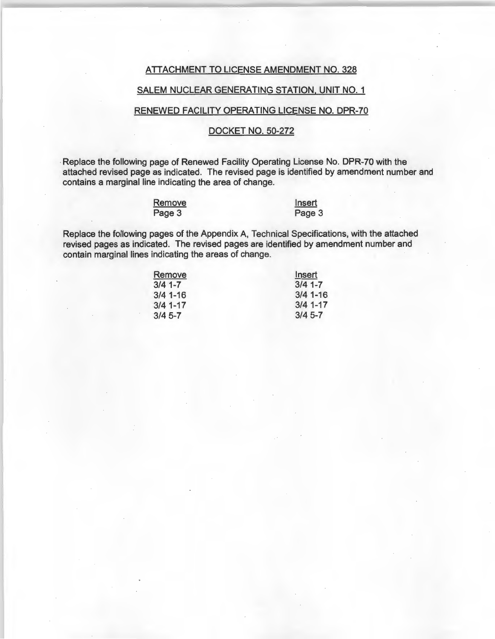#### ATTACHMENT TO LICENSE AMENDMENT NO. 328

## SALEM NUCLEAR GENERATING STATION, UNIT NO. 1

## RENEWED FACILITY OPERATING LICENSE NO. DPR-70

## DOCKET NO. 50-272

Replace the following page of Renewed Facility Operating License No. DPR-70 with the attached revised page as indicated. The revised page is identified by amendment number and contains a marginal line indicating the area of change.

| Remove |  |
|--------|--|
| Page 3 |  |

**Insert** Page 3

Replace the following pages of the Appendix A, Technical Specifications, with the attached revised pages as indicated. The revised pages are identified by amendment number and contain marginal lines indicating the areas of change.

| Remove     | Insert     |
|------------|------------|
| $3/4$ 1-7  | $3/4$ 1-7  |
| $3/4$ 1-16 | $3/4$ 1-16 |
| $3/4$ 1-17 | $3/4$ 1-17 |
| $3/4$ 5-7  | $3/4$ 5-7  |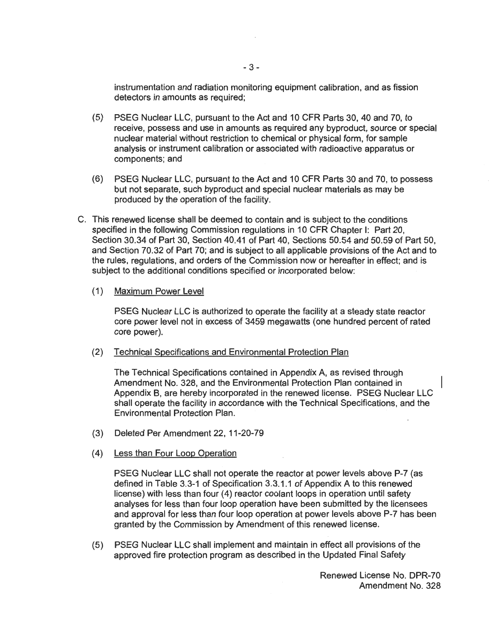instrumentation and radiation monitoring equipment calibration, and as fission detectors in amounts as required;

- (5) PSEG Nuclear LLC, pursuant to the Act and 10 CFR Parts 30, 40 and 70, to receive, possess and use in amounts as required any byproduct, source or special nuclear material without restriction to chemical or physical form, for sample analysis or instrument calibration or associated with radioactive apparatus or components; and
- (6) PSEG Nuclear LLC, pursuant to the Act and 10 CFR Parts 30 and 70, to possess but not separate, such byproduct and special nuclear materials as may be produced by the operation of the facility.
- C. This renewed license shall be deemed to contain and is subject to the conditions specified in the following Commission regulations in 10 CFR Chapter I: Part 20, Section 30.34 of Part 30, Section 40.41 of Part 40, Sections 50.54 and 50.59 of Part 50, and Section 70.32 of Part 70; and is subject to all applicable provisions of the Act and to the rules, regulations, and orders of the Commission now or hereafter in effect; and is subject to the additional conditions specified or incorporated below:

## (1) Maximum Power Level

PSEG Nuclear LLC is authorized to operate the facility at a steady state reactor core power level not in excess of 3459 megawatts ( one hundred percent of rated core power).

## (2) Technical Specifications and Environmental Protection Plan

The Technical Specifications contained in Appendix A, as revised through Amendment No. 328, and the Environmental Protection Plan contained in Appendix B, are hereby incorporated in the renewed license. PSEG Nuclear LLC shall operate the facility in accordance with the Technical Specifications, and the Environmental Protection Plan.

- (3) Deleted Per Amendment 22, 11-20-79
- (4) Less than Four Loop Operation

PSEG Nuclear LLC shall not operate the reactor at power levels above P-7 (as defined in Table 3.3-1 of Specification 3.3.1.1 of Appendix A to this renewed license) with less than four (4) reactor coolant loops in operation until safety analyses for less than four loop operation have been submitted by the licensees and approval for less than four loop operation at power levels above P-7 has been granted by the Commission by Amendment of this renewed license.

(5) PSEG Nuclear LLC shall implement and maintain in effect all provisions of the approved fire protection program as described in the Updated Final Safety

> Renewed License No. DPR-70 Amendment No. 328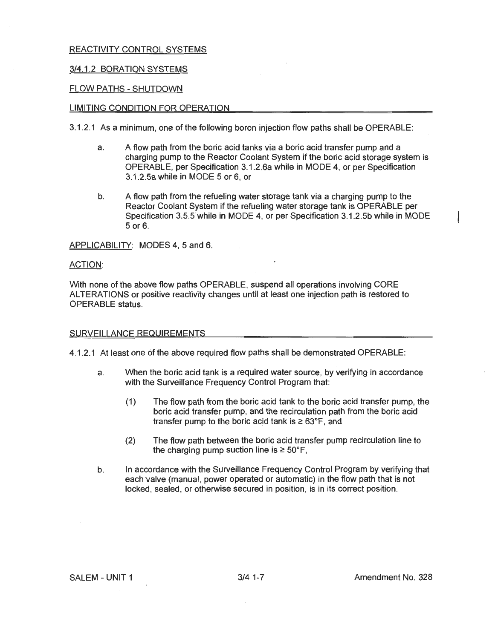## 3/4.1 .2 BORATION SYSTEMS

## FLOW PATHS-SHUTDOWN

#### LIMITING CONDITION FOR OPERATION

3.1 .2.1 As a minimum, one of the following boron injection flow paths shall be OPERABLE:

- a. A flow path from the boric acid tanks via a boric acid transfer pump and a charging pump to the Reactor Coolant System if the boric acid storage system is OPERABLE, per Specification 3.1 .2.6a while in MODE 4, or per Specification 3.1.2.5a while in MODE 5 or 6, or
- b. A flow path from the refueling water storage tank via a charging pump to the Reactor Coolant System if the refueling water storage tank is OPERABLE per Specification 3.5.5"while in MODE 4, or per Specification 3.1.2.5b while in MODE 5 or 6.

APPLICABILITY: MODES **4,** 5 and 6.

#### ACTION:

With none of the above flow paths OPERABLE, suspend all operations involving CORE ALTERATIONS or positive reactivity changes until at least one injection path is restored to OPERABLE status.

#### SURVEILLANCE REQUIREMENTS

4.1 .2.1 At least one of the above required flow paths shall be demonstrated OPERABLE:

- a. When the boric acid tank is a required water source, by verifying in accordance with the Surveillance Frequency Control Program that:
	- (1) The flow path from the boric acid tank to the boric acid transfer pump, the boric acid transfer pump, and the recirculation path from the boric acid transfer pump to the boric acid tank is  $\geq 63^{\circ}F$ , and
	- (2) The flow path between the boric acid transfer pump recirculation line to the charging pump suction line is  $\geq 50^{\circ}$ F.
- b. In accordance with the Surveillance Frequency Control Program by verifying that each valve (manual, power operated or automatic) in the flow path that is not locked, sealed, or otherwise secured in position, is in its correct position.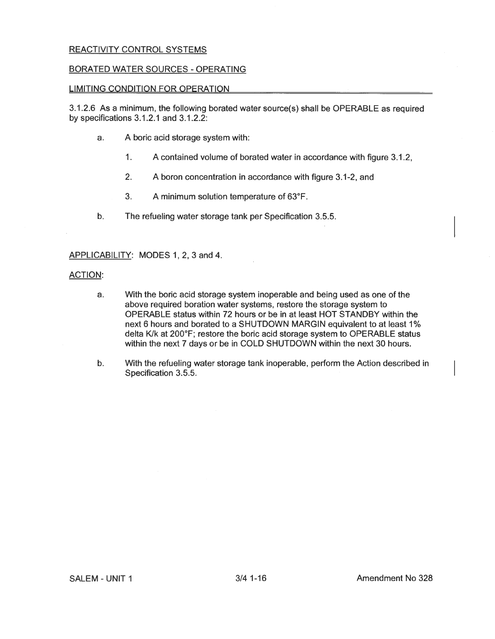## BORATED WATER SOURCES - OPERATING

## LIMITING CONDITION FOR OPERATION

3.1.2.6 As a minimum, the following borated water source(s) shall be OPERABLE as required by specifications 3.1.2.1 and 3.1.2.2:

- a. A boric acid storage system with:
	- 1. A contained volume of borated water in accordance with figure 3.1.2,
	- 2. A boron concentration in accordance with figure 3.1-2, and
	- 3. A minimum solution temperature of 63°F.
- b. The refueling water storage tank per Specification 3.5.5.

APPLICABILITY: MODES 1, 2, 3 and 4.

#### ACTION:

- a. With the boric acid storage system inoperable and being used as one of the above required boration water systems, restore the storage system to OPERABLE status within 72 hours or be in at least HOT STANDBY within the next 6 hours and borated to a SHUTDOWN **MARGIN** equivalent to at least 1 % delta K/k at 200°F; restore the boric acid storage system to OPERABLE status within the next 7 days or be in COLD SHUTDOWN within the next 30 hours.
- b. With the refueling water storage tank inoperable, perform the Action described in Specification 3.5.5.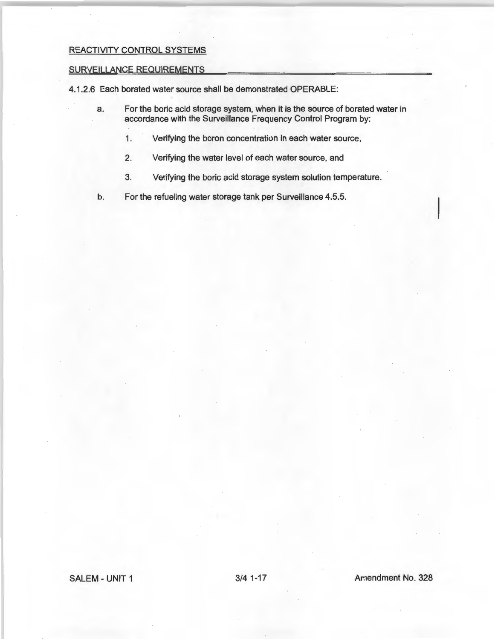#### SURVEILLANCE REQUIREMENTS

4.1.2.6 Each borated water source shall be demonstrated OPERABLE:

- a. For the boric acid storage system, when it is the source of borated water in accordance with the Surveillance Frequency Control Program by:
	- 1. Verifying the boron concentration in each water source,
	- 2. Verifying the water level of each water source, and
	- 3. Verifying the boric acid storage system solution temperature.

b. For the refueling water storage tank per Surveillance 4.5.5.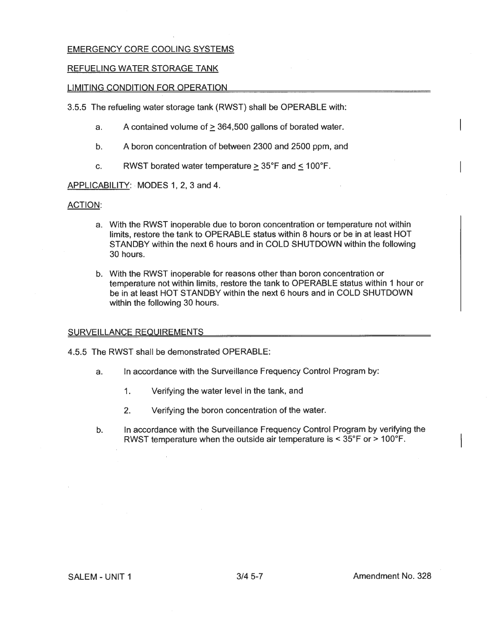## EMERGENCY CORE COOLING SYSTEMS

## REFUELING WATER STORAGE TANK

## LIMITING CONDITION FOR OPERATION

3.5.5 The refueling water storage tank (RWST} shall be OPERABLE with:

- a. A contained volume of  $\geq$  364,500 gallons of borated water.
- b. A boron concentration of between 2300 and 2500 ppm, and
- c. RWST borated water temperature  $> 35^{\circ}F$  and  $< 100^{\circ}F$ .

APPLICABILITY: MODES 1, 2, 3 and 4.

## ACTION:

- a. With the RWST inoperable due to boron concentration or temperature not within limits, restore the tank to OPERABLE status within 8 hours or be in at least HOT STANDBY within the next 6 hours and in COLD SHUTDOWN within the following 30 hours.
- b. With the RWST inoperable for reasons other than boron concentration or temperature not within limits, restore the tank to OPERABLE status within 1 hour or be in at least HOT STANDBY within the next 6 hours and in COLD SHUTDOWN within the following 30 hours.

## SURVEILLANCE REQUIREMENTS

4.5.5 The RWST shall be demonstrated OPERABLE:

- a. In accordance with the Surveillance Frequency Control Program by:
	- 1. Verifying the water level in the tank, and
	- 2. Verifying the boron concentration of the water.
- b. In accordance with the Surveillance Frequency Control Program by verifying the RWST temperature when the outside air temperature is < 35°F or > 100°F.

SALEM - UNIT 1 3/4 5-7 Amendment No. 328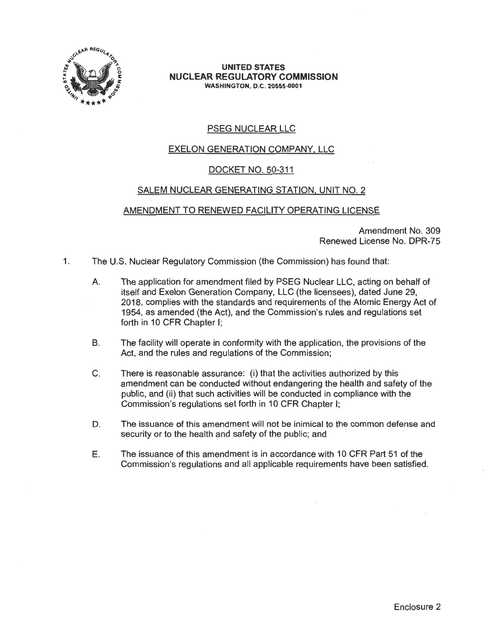

#### **UNITED STATES NUCLEAR REGULATORY COMMISSION WASHINGTON, D.C. 20555-0001**

# PSEG NUCLEAR LLC

# EXELON GENERATION COMPANY, LLC

## DOCKET NO. 50-311

## SALEM NUCLEAR GENERATING STATION, UNIT NO. 2

## AMENDMENT TO RENEWED FACILITY OPERATING LICENSE

Amendment No. 309 Renewed License No. DPR-75

- 1. The U.S. Nuclear Regulatory Commission (the Commission) has found that:
	- A. The application for amendment filed by PSEG Nuclear LLC, acting on behalf of itself and Exelon Generation Company, LLC (the licensees), dated June 29, 2018, complies with the standards and requirements of the Atomic Energy Act of 1954, as amended (the Act), and the Commission's rules and regulations set forth in 10 CFR Chapter I;
	- B. The facility will operate in conformity with the application, the provisions of the Act, and the rules and regulations of the Commission;
	- C. There is reasonable assurance: (i) that the activities authorized by this amendment can be conducted without endangering the health and safety of the public, and (ii) that such activities will be conducted in compliance with the Commission's regulations set forth in 10 CFR Chapter I;
	- D. The issuance of this amendment will not be inimical to the common defense and security or to the health and safety of the public; and
	- E. The issuance of this amendment is in accordance with 10 CFR Part 51 of the Commission's regulations and all applicable requirements have been satisfied.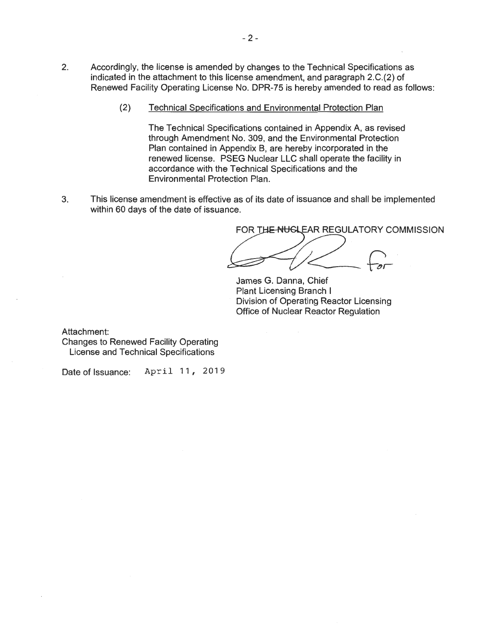- 2. Accordingly, the license is amended by changes to the Technical Specifications as indicated in the attachment to this license amendment, and paragraph 2.C.(2) of Renewed Facility Operating License No. DPR-75 is hereby amended to read as follows:
	- (2) Technical Specifications and Environmental Protection Plan

The Technical Specifications contained in Appendix A, as revised through Amendment No. 309, and the Environmental Protection Plan contained in Appendix B, are hereby incorporated in the renewed license. PSEG Nuclear LLC shall operate the facility in accordance with the Technical Specifications and the Environmental Protection Plan.

3. This license amendment is effective as of its date of issuance and shall be implemented within 60 days of the date of issuance.

FOR THE NUGLEAR REGULATORY COMMISSION

James G. Danna, Chief Plant Licensing Branch I Division of Operating Reactor Licensing Office of Nuclear Reactor Regulation

Attachment:

Changes to Renewed Facility Operating License and Technical Specifications

Date of Issuance: April 11, 2019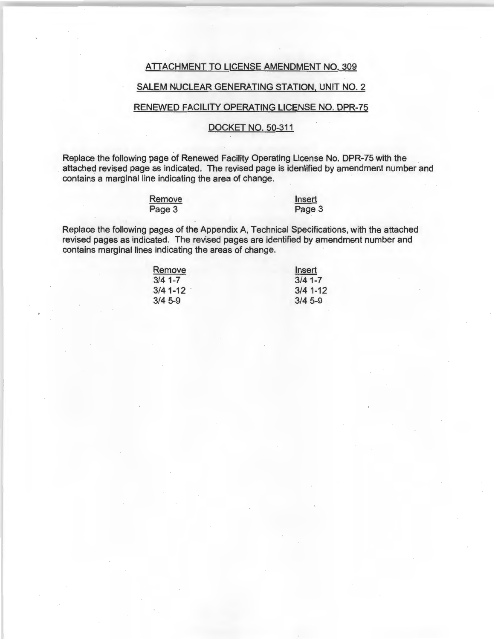## ATTACHMENT TO LICENSE AMENDMENT NO. 309

## SALEM NUCLEAR GENERATING STATION, UNIT NO. 2

## RENEWED FACILITY OPERATING LICENSE NO. DPR-75

## DOCKET NO. 50-311

Replace the following page of Renewed Facility Operating License No. DPR-75 with the attached revised page as indicated. The revised page is identified by amendment number and contains a marginal line indicating the area of change.

> **Remove** Page 3

Insert Page 3

Replace the following pages of the Appendix A, Technical Specifications, with the attached revised pages as indicated. The revised pages are identified by amendment number and contains marginal lines indicating the areas of change.

| Insert     |  |
|------------|--|
| $3/4$ 1-7  |  |
| $3/4$ 1-12 |  |
| $3/4$ 5-9  |  |
|            |  |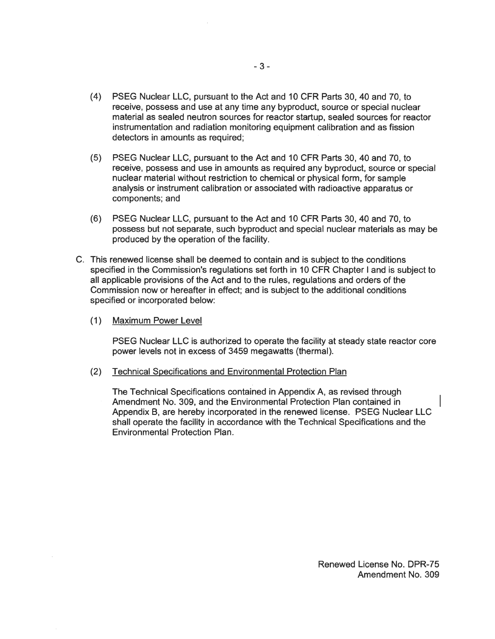- (4) PSEG Nuclear LLC, pursuant to the Act and 10 CFR Parts 30, 40 and 70, to receive, possess and use at any time any byproduct, source or special nuclear material as sealed neutron sources for reactor startup, sealed sources for reactor instrumentation and radiation monitoring equipment calibration and as fission detectors in amounts as required;
- (5) PSEG Nuclear LLC, pursuant to the Act and 10 CFR Parts 30, 40 and 70, to receive, possess and use in amounts as required any byproduct, source or special nuclear material without restriction to chemical or physical form, for sample analysis or instrument calibration or associated with radioactive apparatus or components; and
- (6) PSEG Nuclear LLC, pursuant to the Act and 10 CFR Parts 30, 40 and 70, to possess but not separate, such byproduct and special nuclear materials as may be produced by the operation of the facility.
- C. This renewed license shall be deemed to contain and is subject to the conditions specified in the Commission's regulations set forth in 10 CFR Chapter I and is subject to all applicable provisions of the Act and to the rules, regulations and orders of the Commission now or hereafter in effect; and is subject to the additional conditions specified or incorporated below:
	- (1) Maximum Power Level

PSEG Nuclear LLC is authorized to operate the facility at steady state reactor core power levels not in excess of 3459 megawatts (thermal).

(2) Technical Specifications and Environmental Protection Plan

The Technical Specifications contained in Appendix A, as revised through Amendment No. 309, and the Environmental Protection Plan contained in Appendix B, are hereby incorporated in the renewed license. PSEG Nuclear LLC shall operate the facility in accordance with the Technical Specifications and the Environmental Protection Plan.

Renewed License No. DPR-75 Amendment No. 309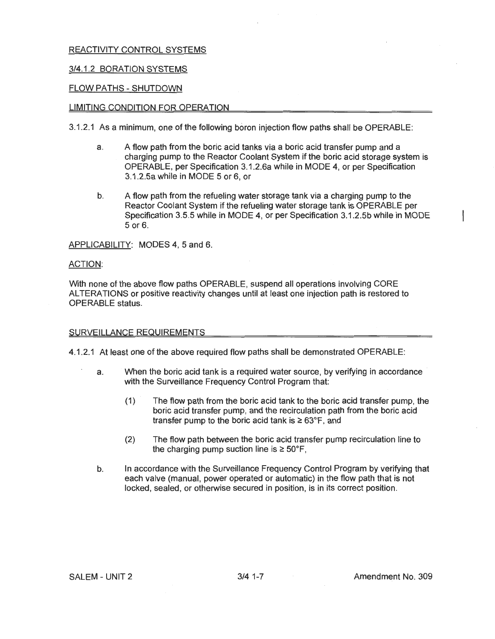## 3/4.1.2 BORATION SYSTEMS

## FLOW PATHS - SHUTDOWN

#### LIMITING CONDITION FOR OPERATION

3.1.2.1 As a minimum, one of the following boron injection flow paths shall be OPERABLE:

- a. A flow path from the boric acid tanks via a boric acid transfer pump and a charging pump to the Reactor Coolant System if the boric acid storage system is OPERABLE, per Specification 3.1.2.6a while in MODE 4, or per Specification 3.1.2.5a while in MODE 5 or 6, or
- b. A flow path from the refueling water storage tank via a charging pump to the Reactor Coolant System if the refueling water storage tank is OPERABLE per Specification 3.5.5 while in MODE 4, or per Specification 3.1.2.5b while in MODE 5 or 6.

APPLICABILITY: MODES 4, 5 and 6.

#### ACTION:

With none of the above flow paths OPERABLE, suspend all operations involving CORE ALTERATIONS or positive reactivity changes until at least one injection path is restored to OPERABLE status.

#### SURVEILLANCE REQUIREMENTS

4.1.2.1 At least one of the above required flow paths shall be demonstrated OPERABLE:

- a. When the boric acid tank is a required water source, by verifying in accordance with the Surveillance Frequency Control Program that:
	- (1) The flow path from the boric acid tank to the boric acid transfer pump, the boric acid transfer pump, and the recirculation path from the boric acid transfer pump to the boric acid tank is  $\geq 63^{\circ}$ F, and
	- (2) The flow path between the boric acid transfer pump recirculation line to the charging pump suction line is  $\geq 50^{\circ}$ F,
- b. In accordance with the Surveillance Frequency Control Program by verifying that each valve (manual, power operated or automatic) in the flow path that is not locked, sealed, or otherwise secured in position, is in its correct position.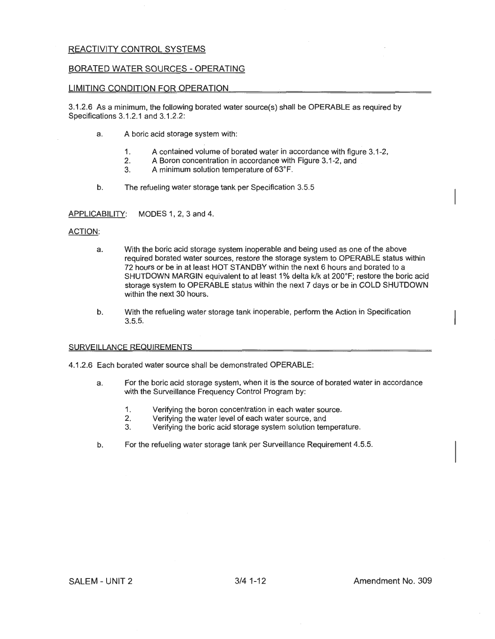#### BORATED WATER SOURCES-OPERATING

#### LIMITING CONDITION FOR OPERATION

3.1.2.6 As a minimum, the following borated water source(s) shall be OPERABLE as required by Specifications 3.1.2.1 and 3.1 .2.2:

- a. A boric acid storage system with:
	- 1. A contained volume of borated water in accordance with figure 3.1-2,<br>2. A Boron concentration in accordance with Figure 3.1-2, and
	- 2. A Boron concentration in accordance with Figure 3.1-2, and  $\overline{3}$ . A minimum solution temperature of  $63^{\circ}$ F.
	- 3. A minimum solution temperature of 63°F.
- b. The refueling water storage tank per Specification 3.5.5

APPLICABILITY: MODES 1, 2, 3 and 4.

#### ACTION:

- a. With the boric acid storage system inoperable and being used as one of the above required borated water sources, restore the storage system to OPERABLE status within 72 hours or be in at least HOT STANDBY within the next 6 hours and borated to a SHUTDOWN MARGIN equivalent to at least 1% delta k/k at 200°F; restore the boric acid storage system to OPERABLE status within the next 7 days or be in COLD SHUTDOWN within the next 30 hours.
- b. With the refueling water storage tank inoperable, perform the Action in Specification 3.5.5.

#### SURVEILLANCE REQUIREMENTS

4.1.2.6 Each borated water source shall be demonstrated OPERABLE:

- a. For the boric acid storage system, when it is the source of borated water in accordance with the Surveillance Frequency Control Program by:
	- 1. Verifying the boron concentration in each water source.
	- 2. Verifying the water level of each water source, and<br>3. Verifying the boric acid storage system solution tem
	- Verifying the boric acid storage system solution temperature.
- b. For the refueling water storage tank per Surveillance Requirement 4.5.5.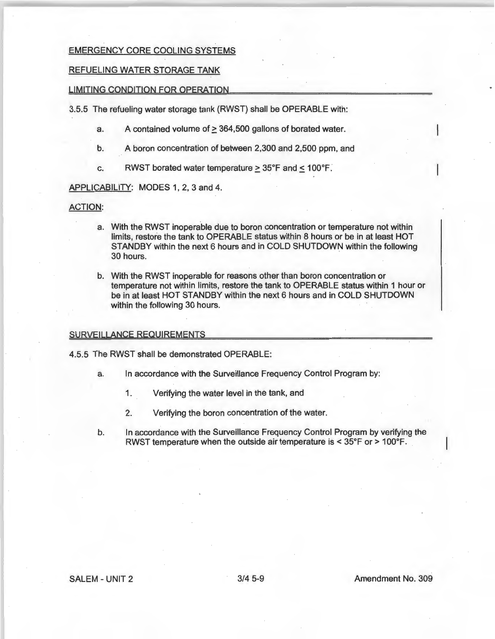## EMERGENCY CORE COOLING SYSTEMS

#### REFUELING WATER STORAGE TANK

#### LIMITING CONDITION FOR OPERATION

3.5.5 The refueling water storage tank (RWST) shall be OPERABLE with:

- a. A contained volume of  $\geq$  364,500 gallons of borated water.
- b. A boron concentration of between 2,300 and 2,500 ppm, and
- c. RWST borated water temperature  $\geq 35^{\circ}$ F and  $\leq 100^{\circ}$ F.

## APPLICABILITY: MODES 1, 2, 3 and 4.

#### ACTION:

- a. With the RWST inoperable due to boron concentration or temperature not within limits, restore the tank to OPERABLE status within 8 hours or be in at least HOT STANDBY within the next 6 hours and in COLD SHUTDOWN within the following 30 hours.
- b. With the RWST inoperable for reasons other than boron concentration or temperature not within limits, restore the tank to OPERABLE status within 1 hour or be in at least HOT STANDBY within the next 6 hours and in COLD SHUTDOWN within the following 30 hours.

#### SURVEILLANCE REQUIREMENTS

4.5.5 The RWST shall be demonstrated OPERABLE:

- a. In accordance with the Surveillance Frequency Control Program by:
	- 1. Verifying the water level in the tank, and
	- 2. Verifying the boron concentration of the water.
- b. In accordance with the Surveillance Frequency Control Program by verifying the RWST temperature when the outside air temperature is < 35°F or > 100°F.

#### SALEM - UNIT 2 3/4 5-9 Amendment No. 309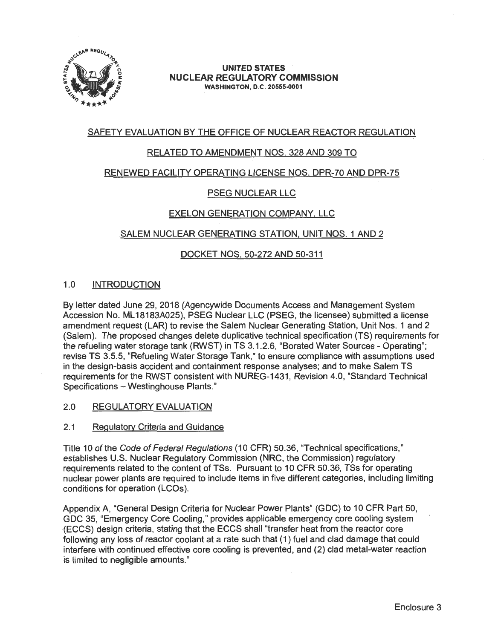

#### **UNITED STATES NUCLEAR REGULATORY COMMISSION WASHINGTON, D.C. 20555-0001**

## SAFETY EVALUATION BY THE OFFICE OF NUCLEAR REACTOR REGULATION

## RELATED TO AMENDMENT NOS. 328 AND 309 TO

## RENEWED FACILITY OPERATING LICENSE NOS. DPR-70 AND DPR-75

## PSEG NUCLEAR LLC

## EXELON GENERATION COMPANY, LLC

## .SALEM NUCLEAR GENERATING STATION, UNIT NOS. 1 AND 2

## DOCKET NOS. 50-272 AND 50-311

## 1.0 INTRODUCTION

By letter dated June 29, 2018 (Agencywide Documents Access and Management System Accession No. ML 18183A025), PSEG Nuclear LLC (PSEG, the licensee) submitted a license amendment request (LAR) to revise the Salem Nuclear Generating Station, Unit Nos. 1 and 2 (Salem). The proposed changes delete duplicative technical specification (TS) requirements for the refueling water storage tank (RWST) in TS 3.1 .2.6, "Borated Water Sources - Operating"; revise TS 3.5.5, "Refueling Water Storage Tank," to ensure compliance with assumptions used in the design-basis accident and containment response analyses; and to make Salem TS requirements for the RWST consistent with NUREG-1431 , Revision 4.0, "Standard Technical Specifications - Westinghouse Plants."

#### 2.0 REGULATORY EVALUATION

#### 2.1 Regulatory Criteria and Guidance

Title 10 of the Code of Federal Regulations (10 CFR) 50.36, "Technical specifications," establishes U.S. Nuclear Regulatory Commission **(NRC,** the Commission) regulatory requirements related to the content of TSs. Pursuant to 10 CFR 50.36, TSs for operating nuclear power plants are required to include items in five different categories, including limiting conditions for operation (LCOs ).

Appendix A, "General Design Criteria for Nuclear Power Plants" (GDC) to 10 CFR Part 50, GDC 35, "Emergency Core Cooling," provides applicable emergency core cooling system ·(ECCS) design criteria, stating that the ECCS shall "transfer heat from the reactor core following any loss of reactor coolant at a rate such that ( 1) fuel and clad damage that could interfere with continued effective core cooling is prevented, and (2) clad metal-water reaction is limited to negligible amounts."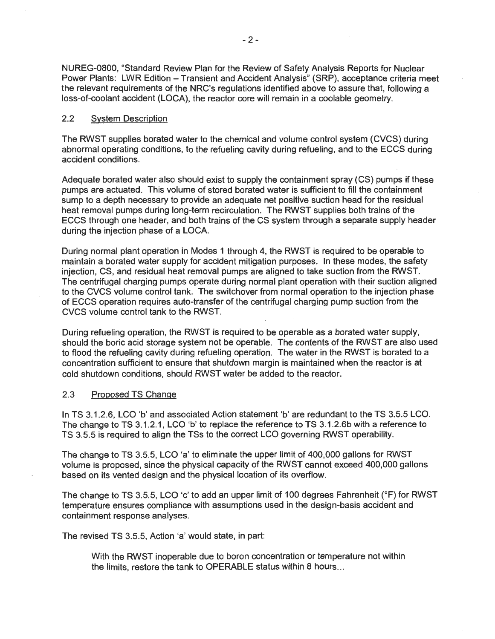NUREG-0800, "Standard Review Plan for the Review of Safety Analysis Reports for Nuclear Power Plants: LWR Edition - Transient and Accident Analysis" (SRP), acceptance criteria meet the relevant requirements of the NRC's regulations identified above to assure that, following a loss-of-coolant accident (LOCA), the reactor core will remain in a coolable geometry.

## 2.2 System Description

The RWST supplies borated water to the chemical and volume control system (CVCS) during abnormal operating conditions, to the refueling cavity during refueling, and to the ECCS during accident conditions.

Adequate borated water also should exist to supply the containment spray (CS) pumps if these pumps are actuated. This volume of stored borated water is sufficient to fill the containment sump to a depth necessary to provide an adequate net positive suction head for the residual heat removal pumps during long-term recirculation. The RWST supplies both trains of the ECCS through one header, and both trains of the CS system through a separate supply header during the injection phase of a LOCA.

During normal plant operation in Modes 1 through 4, the RWST is required to be operable to maintain a borated water supply for accident mitigation purposes. In these modes, the safety injection, CS, and residual heat removal pumps are aligned to take suction from the RWST. The centrifugal charging pumps operate during normal plant operation with their suction aligned to the CVCS volume control tank. The switchover from normal operation to the injection phase of ECCS operation requires auto-transfer of the centrifugal charging pump suction from the CVCS volume control tank to the RWST.

During refueling operation, the RWST is required to be operable as a borated water supply, should the boric acid storage system not be operable. The contents of the RWST are also used to flood the refueling cavity during refueling operation. The water in the RWST is borated to a concentration sufficient to ensure that shutdown margin is maintained when the reactor is at cold shutdown conditions, should RWST water be added to the reactor.

#### 2.3 Proposed TS Change

In TS 3.1.2.6, LCO 'b' and associated Action statement 'b' are redundant to the TS 3.5.5 LCO. The change to TS 3.1.2.1, LCO 'b' to replace the reference to TS 3.1.2.6b with a reference to TS 3.5.5 is required to align the TSs to the correct LCO governing RWST operability.

The change to TS 3.5.5, LCO 'a' to eliminate the upper limit of 400,000 gallons for RWST volume is proposed, since the physical capacity of the RWST cannot exceed 400,000 gallons based on its vented design and the physical location of its overflow.

The change to TS 3.5.5, LCO 'c' to add an upper limit of 100 degrees Fahrenheit (°F) for RWST temperature ensures compliance with assumptions used in the design-basis accident and containment response analyses.

The revised TS 3.5.5, Action 'a' would state, in part:

With the RWST inoperable due to boron concentration or temperature not within the limits, restore the tank to OPERABLE status within 8 hours ...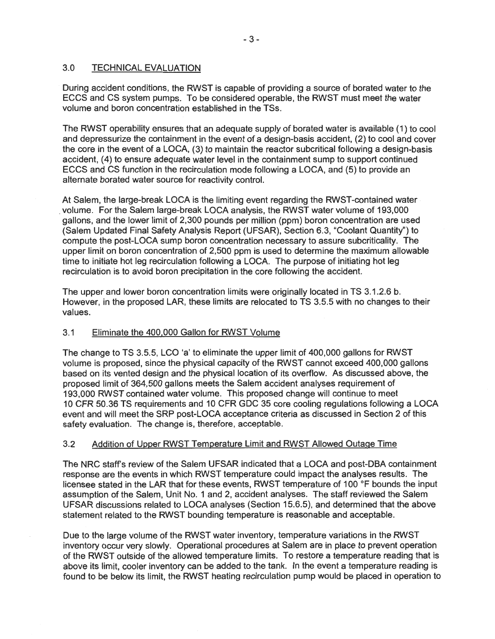## 3.0 TECHNICAL EVALUATION

During accident conditions, the RWST is capable of providing a source of borated water to the ECCS and CS system pumps. To be considered operable, the RWST must meet the water volume and boron concentration established in the TSs.

The RWST operability ensures that an adequate supply of borated water is available (1) to cool and depressurize the containment in the event of a design-basis accident, (2) to cool and cover the core in the event of a LOCA, (3) to maintain the reactor subcritical following a design-basis accident, (4) to ensure adequate water level in the containment sump to support continued ECCS and CS function in the recirculation mode following a LOCA, and (5) to provide an alternate borated water source for reactivity control.

At Salem, the large-break LOCA is the limiting event regarding the RWST-contained water . volume. For the Salem large-break LOCA analysis, the RWST water volume of 193,000 gallons, and the lower limit of 2,300 pounds per million (ppm) boron concentration are used (Salem Updated Final Safety Analysis Report (UFSAR), Section 6.3, "Coolant Quantity") to compute the post-LOCA sump boron concentration necessary to assure subcriticality. The upper limit on boron concentration of 2,500 ppm is used to determine the maximum allowable time to initiate hot leg recirculation following a LOCA. The purpose of initiating hot leg recirculation is to avoid boron precipitation in the core following the accident.

The upper and lower boron concentration limits were originally located in TS 3.1 .2.6 b. However, in the proposed LAR, these limits are relocated to TS 3.5.5 with no changes to their values.

## 3.1 Eliminate the 400,000 Gallon for RWST Volume

The change to TS 3.5.5, LCO 'a' to eliminate the upper limit of 400,000 gallons for RWST volume is proposed, since the physical capacity of the RWST cannot exceed 400,000 gallons based on its vented design and the physical location of its overflow. As discussed above, the proposed limit of 364,500 gallons meets the Salem accident analyses requirement of 193,000 RWST contained water volume. This proposed change will continue to meet 10 CFR 50.36 TS requirements and 10 CFR GDC 35 core cooling regulations following a LOCA event and will meet the SRP post-LOCA acceptance criteria as discussed in Section 2 of this safety evaluation. The change is, therefore, acceptable.

## 3.2 Addition of Upper RWST Temperature Limit and RWST Allowed Outage Time

The NRC staff's review of the Salem UFSAR indicated that a LOCA and post-OBA containment response are the events in which RWST temperature could impact the analyses results. The licensee stated in the LAR that for these events, RWST temperature of 100 °F bounds the input assumption of the Salem, Unit No. 1 and 2, accident analyses. The staff reviewed the Salem UFSAR discussions related to LOCA analyses (Section 15.6.5), and determined that the above statement related to the RWST bounding temperature is reasonable and acceptable.

Due to the large volume of the RWST water inventory, temperature variations in the RWST inventory occur very slowly. Operational procedures at Salem are in place to prevent operation of the RWST outside of the allowed temperature limits. To restore a temperature reading that is above its limit, cooler inventory can be added to the tank. In the event a temperature reading is found to be below its limit, the RWST heating recirculation pump would be placed in operation to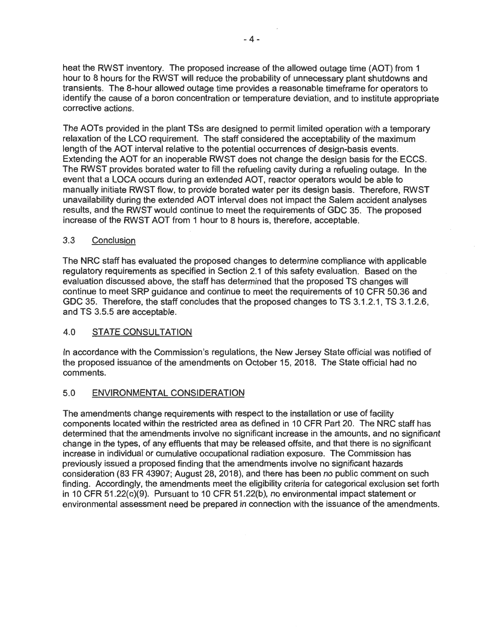heat the RWST inventory. The proposed increase of the allowed outage time (AOT) from 1 hour to 8 hours for the RWST will reduce the probability of unnecessary plant shutdowns and transients. The 8-hour allowed outage time provides a reasonable timeframe for operators to identify the cause of a boron concentration or temperature deviation, and to institute appropriate corrective actions.

The AOTs provided in the plant TSs are designed to permit limited operation with a temporary relaxation of the LCO requirement. The staff considered the acceptability of the maximum length of the AOT interval relative to the potential occurrences of design-basis events. Extending the AOT for an inoperable RWST does not change the design basis for the ECCS. The RWST provides borated water to fill the refueling cavity during a refueling outage. In the event that a LOCA occurs during an extended AOT, reactor operators would be able to manually initiate RWST flow, to provide borated water per its design basis. Therefore, RWST unavailability during the extended AOT interval does not impact the Salem accident analyses results, and the RWST would continue to meet the requirements of GDC 35. The proposed increase of the RWST AOT from 1 hour to 8 hours is, therefore, acceptable.

## 3.3 Conclusion

The NRC staff has evaluated the proposed changes to determine compliance with applicable regulatory requirements as specified in Section 2.1 of this safety evaluation. Based on the evaluation discussed above, the staff has determined that the proposed TS changes will continue to meet SRP guidance and continue to meet the requirements of 10 CFR 50.36 and GDC 35. Therefore, the staff concludes that the proposed changes to TS 3.1.2.1, TS 3.1.2.6, and TS 3.5.5 are acceptable.

## 4.0 STATE CONSULTATION .

In accordance with the Commission's regulations, the New Jersey State official was notified of the proposed issuance of the amendments on October 15, 2018. The State official had no comments.

## 5.0 ENVIRONMENTAL CONSIDERATION

The amendments change requirements with respect to the installation or use of facility components located within the restricted area as defined in 10 CFR Part 20. The NRC staff has determined that the amendments involve no significant increase in the amounts, and no significant change in the types, of any effluents that may be released offsite, and that there is no significant increase in individual or cumulative occupational radiation exposure. The Commission has previously issued a proposed finding that the amendments involve no significant hazards consideration (83 FR 43907; August 28, 2018), and there has been no public comment on such finding. Accordingly, the amendments meet the eligibility criteria for categorical exclusion set forth in 10 CFR 51.22(c)(9). Pursuant to 10 CFR 51.22(b), no environmental impact statement or environmental assessment need be prepared in connection with the issuance of the amendments.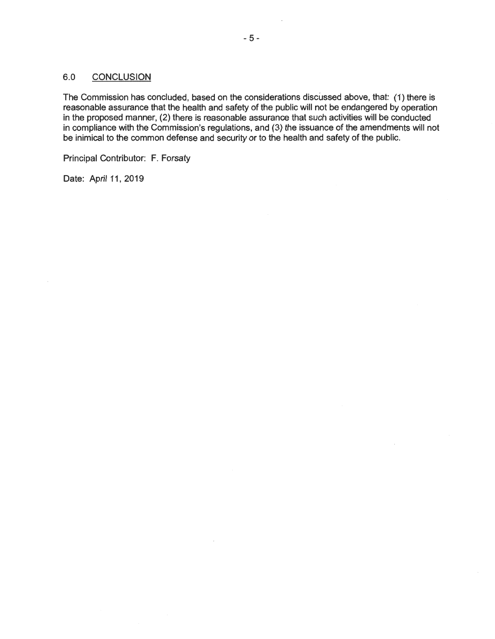## 6.0 CONCLUSION

The Commission has concluded, based on the considerations discussed above, that: (1) there is reasonable assurance that the health and safety of the public will not be endangered by operation in the proposed manner, (2) there is reasonable assurance that such activities will be conducted in compliance with the Commission's regulations, and (3) the issuance of the amendments will not be inimical to the common defense and security or to the health and safety of the public.

Principal Contributor: F. Forsaty

Date: April 11, 2019